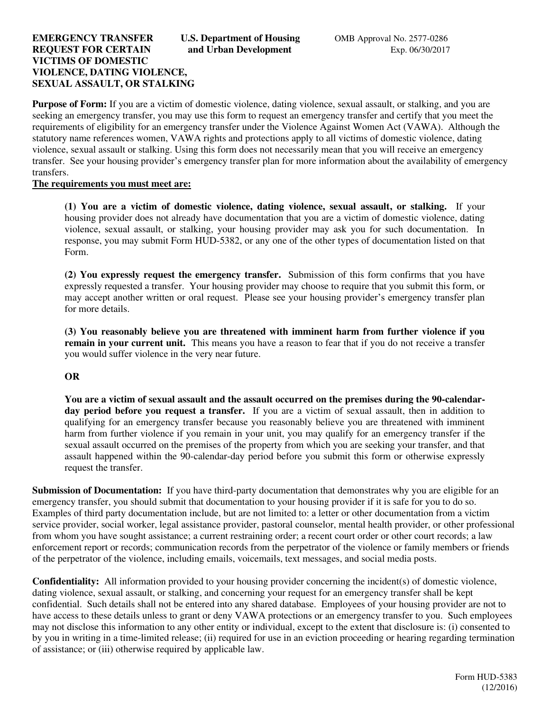## **EMERGENCY TRANSFER U.S. Department of Housing COMB Approval No. 2577-0286 REQUEST FOR CERTAIN** and Urban Development **Exp. 06/30/2017 VICTIMS OF DOMESTIC VIOLENCE, DATING VIOLENCE, SEXUAL ASSAULT, OR STALKING**

**Purpose of Form:** If you are a victim of domestic violence, dating violence, sexual assault, or stalking, and you are seeking an emergency transfer, you may use this form to request an emergency transfer and certify that you meet the requirements of eligibility for an emergency transfer under the Violence Against Women Act (VAWA). Although the statutory name references women, VAWA rights and protections apply to all victims of domestic violence, dating violence, sexual assault or stalking. Using this form does not necessarily mean that you will receive an emergency transfer. See your housing provider's emergency transfer plan for more information about the availability of emergency transfers.

#### **The requirements you must meet are:**

**(1) You are a victim of domestic violence, dating violence, sexual assault, or stalking.** If your housing provider does not already have documentation that you are a victim of domestic violence, dating violence, sexual assault, or stalking, your housing provider may ask you for such documentation. In response, you may submit Form HUD-5382, or any one of the other types of documentation listed on that Form.

**(2) You expressly request the emergency transfer.** Submission of this form confirms that you have expressly requested a transfer. Your housing provider may choose to require that you submit this form, or may accept another written or oral request. Please see your housing provider's emergency transfer plan for more details.

**(3) You reasonably believe you are threatened with imminent harm from further violence if you remain in your current unit.** This means you have a reason to fear that if you do not receive a transfer you would suffer violence in the very near future.

#### **OR**

**You are a victim of sexual assault and the assault occurred on the premises during the 90-calendarday period before you request a transfer.** If you are a victim of sexual assault, then in addition to qualifying for an emergency transfer because you reasonably believe you are threatened with imminent harm from further violence if you remain in your unit, you may qualify for an emergency transfer if the sexual assault occurred on the premises of the property from which you are seeking your transfer, and that assault happened within the 90-calendar-day period before you submit this form or otherwise expressly request the transfer.

**Submission of Documentation:** If you have third-party documentation that demonstrates why you are eligible for an emergency transfer, you should submit that documentation to your housing provider if it is safe for you to do so. Examples of third party documentation include, but are not limited to: a letter or other documentation from a victim service provider, social worker, legal assistance provider, pastoral counselor, mental health provider, or other professional from whom you have sought assistance; a current restraining order; a recent court order or other court records; a law enforcement report or records; communication records from the perpetrator of the violence or family members or friends of the perpetrator of the violence, including emails, voicemails, text messages, and social media posts.

**Confidentiality:** All information provided to your housing provider concerning the incident(s) of domestic violence, dating violence, sexual assault, or stalking, and concerning your request for an emergency transfer shall be kept confidential. Such details shall not be entered into any shared database. Employees of your housing provider are not to have access to these details unless to grant or deny VAWA protections or an emergency transfer to you. Such employees may not disclose this information to any other entity or individual, except to the extent that disclosure is: (i) consented to by you in writing in a time-limited release; (ii) required for use in an eviction proceeding or hearing regarding termination of assistance; or (iii) otherwise required by applicable law.